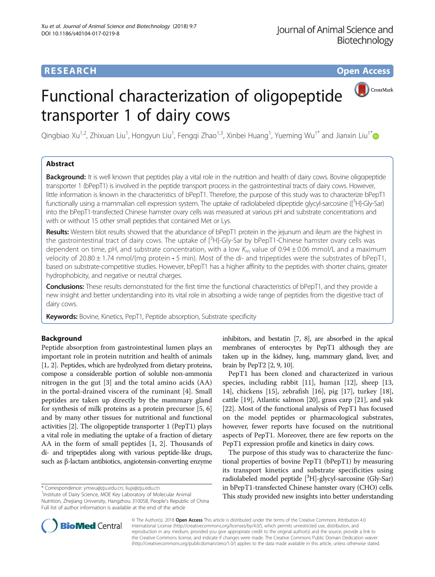### **RESEARCH CHE Open Access**



## Functional characterization of oligopeptide transporter 1 of dairy cows

Qingbiao Xu<sup>1,2</sup>, Zhixuan Liu<sup>1</sup>, Hongyun Liu<sup>1</sup>, Fengqi Zhao<sup>1,3</sup>, Xinbei Huang<sup>1</sup>, Yueming Wu<sup>1[\\*](http://orcid.org/0000-0002-5812-5186)</sup> and Jianxin Liu<sup>1\*</sup>

#### Abstract

**Background:** It is well known that peptides play a vital role in the nutrition and health of dairy cows. Bovine oligopeptide transporter 1 (bPepT1) is involved in the peptide transport process in the gastrointestinal tracts of dairy cows. However, little information is known in the characteristics of bPepT1. Therefore, the purpose of this study was to characterize bPepT1 functionally using a mammalian cell expression system. The uptake of radiolabeled dipeptide glycyl-sarcosine ([<sup>3</sup>H]-Gly-Sar) into the bPepT1-transfected Chinese hamster ovary cells was measured at various pH and substrate concentrations and with or without 15 other small peptides that contained Met or Lys.

Results: Western blot results showed that the abundance of bPepT1 protein in the jejunum and ileum are the highest in the gastrointestinal tract of dairy cows. The uptake of [<sup>3</sup>H]-Gly-Sar by bPepT1-Chinese hamster ovary cells was dependent on time, pH, and substrate concentration, with a low  $K_m$  value of 0.94  $\pm$  0.06 mmol/L and a maximum velocity of 20.80  $\pm$  1.74 nmol/(mg protein  $\cdot$  5 min). Most of the di- and tripeptides were the substrates of bPepT1, based on substrate-competitive studies. However, bPepT1 has a higher affinity to the peptides with shorter chains, greater hydrophobicity, and negative or neutral charges.

Conclusions: These results demonstrated for the first time the functional characteristics of bPepT1, and they provide a new insight and better understanding into its vital role in absorbing a wide range of peptides from the digestive tract of dairy cows.

Keywords: Bovine, Kinetics, PepT1, Peptide absorption, Substrate specificity

#### Background

Peptide absorption from gastrointestinal lumen plays an important role in protein nutrition and health of animals [[1, 2\]](#page-6-0). Peptides, which are hydrolyzed from dietary proteins, compose a considerable portion of soluble non-ammonia nitrogen in the gut [[3\]](#page-6-0) and the total amino acids (AA) in the portal-drained viscera of the ruminant [[4\]](#page-6-0). Small peptides are taken up directly by the mammary gland for synthesis of milk proteins as a protein precursor [[5](#page-6-0), [6](#page-6-0)] and by many other tissues for nutritional and functional activities [\[2](#page-6-0)]. The oligopeptide transporter 1 (PepT1) plays a vital role in mediating the uptake of a fraction of dietary AA in the form of small peptides [\[1](#page-6-0), [2\]](#page-6-0). Thousands of di- and tripeptides along with various peptide-like drugs, such as β-lactam antibiotics, angiotensin-converting enzyme

\* Correspondence: [ymwu@zju.edu.cn](mailto:ymwu@zju.edu.cn); [liujx@zju.edu.cn](mailto:liujx@zju.edu.cn) <sup>1</sup>

<sup>1</sup> Institute of Dairy Science, MOE Key Laboratory of Molecular Animal Nutrition, Zhejiang University, Hangzhou 310058, People's Republic of China Full list of author information is available at the end of the article

inhibitors, and bestatin [\[7, 8](#page-6-0)], are absorbed in the apical membranes of enterocytes by PepT1 although they are taken up in the kidney, lung, mammary gland, liver, and brain by PepT2 [\[2, 9, 10\]](#page-6-0).

PepT1 has been cloned and characterized in various species, including rabbit [\[11\]](#page-6-0), human [[12](#page-6-0)], sheep [[13](#page-6-0), [14\]](#page-6-0), chickens [\[15\]](#page-6-0), zebrafish [[16\]](#page-6-0), pig [\[17](#page-6-0)], turkey [\[18](#page-6-0)], cattle [\[19\]](#page-6-0), Atlantic salmon [[20\]](#page-7-0), grass carp [[21](#page-7-0)], and yak [[22\]](#page-7-0). Most of the functional analysis of PepT1 has focused on the model peptides or pharmacological substrates, however, fewer reports have focused on the nutritional aspects of PepT1. Moreover, there are few reports on the PepT1 expression profile and kinetics in dairy cows.

The purpose of this study was to characterize the functional properties of bovine PepT1 (bPepT1) by measuring its transport kinetics and substrate specificities using radiolabeled model peptide [<sup>3</sup>H]-glycyl-sarcosine (Gly-Sar) in bPepT1-transfected Chinese hamster ovary (CHO) cells. This study provided new insights into better understanding



© The Author(s). 2018 Open Access This article is distributed under the terms of the Creative Commons Attribution 4.0 International License [\(http://creativecommons.org/licenses/by/4.0/](http://creativecommons.org/licenses/by/4.0/)), which permits unrestricted use, distribution, and reproduction in any medium, provided you give appropriate credit to the original author(s) and the source, provide a link to the Creative Commons license, and indicate if changes were made. The Creative Commons Public Domain Dedication waiver [\(http://creativecommons.org/publicdomain/zero/1.0/](http://creativecommons.org/publicdomain/zero/1.0/)) applies to the data made available in this article, unless otherwise stated.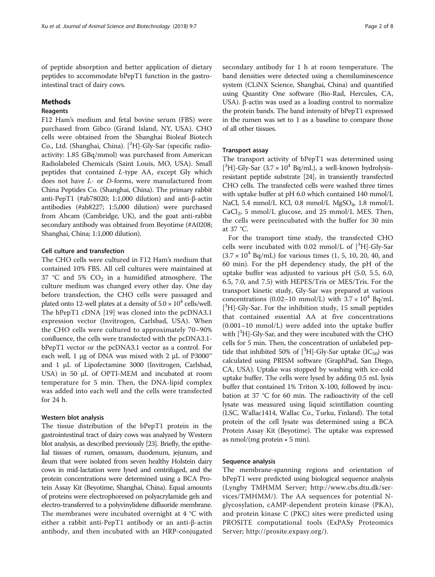of peptide absorption and better application of dietary peptides to accommodate bPepT1 function in the gastrointestinal tract of dairy cows.

#### Methods

#### Reagents

F12 Ham's medium and fetal bovine serum (FBS) were purchased from Gibco (Grand Island, NY, USA). CHO cells were obtained from the Shanghai Bioleaf Biotech Co., Ltd. (Shanghai, China). [<sup>3</sup>H]-Gly-Sar (specific radioactivity: 1.85 GBq/mmol) was purchased from American Radiolabeled Chemicals (Saint Louis, MO, USA). Small peptides that contained L-type AA, except Gly which does not have L- or D-forms, were manufactured from China Peptides Co. (Shanghai, China). The primary rabbit anti-PepT1 (#ab78020; 1:1,000 dilution) and anti-β-actin antibodies (#ab8227; 1:5,000 dilution) were purchased from Abcam (Cambridge, UK), and the goat anti-rabbit secondary antibody was obtained from Beyotime (#A0208; Shanghai, China; 1:1,000 dilution).

#### Cell culture and transfection

The CHO cells were cultured in F12 Ham's medium that contained 10% FBS. All cell cultures were maintained at 37 °C and 5%  $CO<sub>2</sub>$  in a humidified atmosphere. The culture medium was changed every other day. One day before transfection, the CHO cells were passaged and plated onto 12-well plates at a density of  $5.0 \times 10^4$  cells/well. The bPepT1 cDNA [[19\]](#page-6-0) was cloned into the pcDNA3.1 expression vector (Invitrogen, Carlsbad, USA). When the CHO cells were cultured to approximately 70–90% confluence, the cells were transfected with the pcDNA3.1 bPepT1 vector or the pcDNA3.1 vector as a control. For each well, 1 μg of DNA was mixed with 2 μL of P3000™ and 1 μL of Lipofectamine 3000 (Invitrogen, Carlsbad, USA) in 50 μL of OPTI-MEM and incubated at room temperature for 5 min. Then, the DNA-lipid complex was added into each well and the cells were transfected for 24 h.

#### Western blot analysis

The tissue distribution of the bPepT1 protein in the gastrointestinal tract of dairy cows was analyzed by Western blot analysis, as described previously [[23](#page-7-0)]. Briefly, the epithelial tissues of rumen, omasum, duodenum, jejunum, and ileum that were isolated from seven healthy Holstein dairy cows in mid-lactation were lysed and centrifuged, and the protein concentrations were determined using a BCA Protein Assay Kit (Beyotime, Shanghai, China). Equal amounts of proteins were electrophoresed on polyacrylamide gels and electro-transferred to a polyvinylidene difluoride membrane. The membranes were incubated overnight at 4 °C with either a rabbit anti-PepT1 antibody or an anti-β-actin antibody, and then incubated with an HRP-conjugated secondary antibody for 1 h at room temperature. The band densities were detected using a chemiluminescence system (CLiNX Science, Shanghai, China) and quantified using Quantity One software (Bio-Rad, Hercules, CA, USA). β-actin was used as a loading control to normalize the protein bands. The band intensity of bPepT1 expressed in the rumen was set to 1 as a baseline to compare those of all other tissues.

#### Transport assay

The transport activity of bPepT1 was determined using [ ${}^{3}$ H]-Gly-Sar (3.7 × 10<sup>4</sup> Bq/mL), a well-known hydrolysisresistant peptide substrate [\[24\]](#page-7-0), in transiently transfected CHO cells. The transfected cells were washed three times with uptake buffer at pH 6.0 which contained 140 mmol/L NaCl, 5.4 mmol/L KCl, 0.8 mmol/L MgSO<sub>4</sub>, 1.8 mmol/L  $CaCl<sub>2</sub>$ , 5 mmol/L glucose, and 25 mmol/L MES. Then, the cells were preincubated with the buffer for 30 min at 37 °C.

For the transport time study, the transfected CHO cells were incubated with  $0.02$  mmol/L of  $[^3H]$ -Gly-Sar  $(3.7 \times 10^{4} \text{ Bg/mL})$  for various times  $(1, 5, 10, 20, 40,$  and 60 min). For the pH dependency study, the pH of the uptake buffer was adjusted to various pH (5.0, 5.5, 6.0, 6.5, 7.0, and 7.5) with HEPES/Tris or MES/Tris. For the transport kinetic study, Gly-Sar was prepared at various concentrations (0.02-10 mmol/L) with  $3.7 \times 10^4$  Bq/mL [<sup>3</sup>H]-Gly-Sar. For the inhibition study, 15 small peptides that contained essential AA at five concentrations (0.001–10 mmol/L) were added into the uptake buffer with [<sup>3</sup>H]-Gly-Sar, and they were incubated with the CHO cells for 5 min. Then, the concentration of unlabeled peptide that inhibited 50% of  $[{}^3H]$ -Gly-Sar uptake (IC<sub>50</sub>) was calculated using PRISM software (GraphPad, San Diego, CA, USA). Uptake was stopped by washing with ice-cold uptake buffer. The cells were lysed by adding 0.5 mL lysis buffer that contained 1% Triton X-100, followed by incubation at 37 °C for 60 min. The radioactivity of the cell lysate was measured using liquid scintillation counting (LSC, Wallac1414, Wallac Co., Turku, Finland). The total protein of the cell lysate was determined using a BCA Protein Assay Kit (Beyotime). The uptake was expressed as nmol/(mg protein  $\cdot$  5 min).

#### Sequence analysis

The membrane-spanning regions and orientation of bPepT1 were predicted using biological sequence analysis (Lyngby TMHMM Server; [http://www.cbs.dtu.dk/ser](http://www.cbs.dtu.dk/services/TMHMM)[vices/TMHMM/\)](http://www.cbs.dtu.dk/services/TMHMM). The AA sequences for potential Nglycosylation, cAMP-dependent protein kinase (PKA), and protein kinase C (PKC) sites were predicted using PROSITE computational tools (ExPASy Proteomics Server;<http://prosite.expasy.org>/).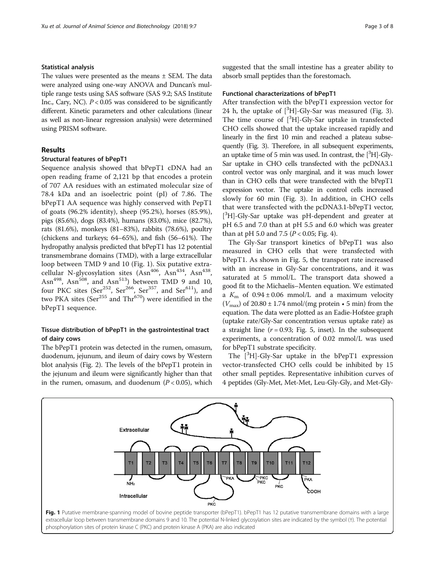#### Statistical analysis

The values were presented as the means ± SEM. The data were analyzed using one-way ANOVA and Duncan's multiple range tests using SAS software (SAS 9.2; SAS Institute Inc., Cary, NC).  $P < 0.05$  was considered to be significantly different. Kinetic parameters and other calculations (linear as well as non-linear regression analysis) were determined using PRISM software.

#### Results

#### Structural features of bPepT1

Sequence analysis showed that bPepT1 cDNA had an open reading frame of 2,121 bp that encodes a protein of 707 AA residues with an estimated molecular size of 78.4 kDa and an isoelectric point (pI) of 7.86. The bPepT1 AA sequence was highly conserved with PepT1 of goats (96.2% identity), sheep (95.2%), horses (85.9%), pigs (85.6%), dogs (83.4%), humans (83.0%), mice (82.7%), rats (81.6%), monkeys (81–83%), rabbits (78.6%), poultry (chickens and turkeys; 64–65%), and fish (56–61%). The hydropathy analysis predicted that bPepT1 has 12 potential transmembrane domains (TMD), with a large extracellular loop between TMD 9 and 10 (Fig. 1). Six putative extracellular N-glycosylation sites (Asn<sup>406</sup>, Asn<sup>434</sup>, Asn<sup>438</sup>, Asn<sup>498</sup>, Asn<sup>508</sup>, and Asn<sup>513</sup>) between TMD 9 and 10, four PKC sites (Ser<sup>252</sup>, Ser<sup>266</sup>, Ser<sup>357</sup>, and Ser<sup>611</sup>), and two PKA sites ( $\text{Ser}^{255}$  and  $\text{Thr}^{670}$ ) were identified in the bPepT1 sequence.

#### Tissue distribution of bPepT1 in the gastrointestinal tract of dairy cows

The bPepT1 protein was detected in the rumen, omasum, duodenum, jejunum, and ileum of dairy cows by Western blot analysis (Fig. [2](#page-3-0)). The levels of the bPepT1 protein in the jejunum and ileum were significantly higher than that in the rumen, omasum, and duodenum  $(P < 0.05)$ , which suggested that the small intestine has a greater ability to absorb small peptides than the forestomach.

#### Functional characterizations of bPepT1

After transfection with the bPepT1 expression vector for 24 h, the uptake of  $[{}^{3}H]$ -Gly-Sar was measured (Fig. [3](#page-3-0)). The time course of  $[{}^{3}H]$ -Gly-Sar uptake in transfected CHO cells showed that the uptake increased rapidly and linearly in the first 10 min and reached a plateau subsequently (Fig. [3](#page-3-0)). Therefore, in all subsequent experiments, an uptake time of 5 min was used. In contrast, the  $[^3H]-Gly-$ Sar uptake in CHO cells transfected with the pcDNA3.1 control vector was only marginal, and it was much lower than in CHO cells that were transfected with the bPepT1 expression vector. The uptake in control cells increased slowly for 60 min (Fig. [3\)](#page-3-0). In addition, in CHO cells that were transfected with the pcDNA3.1-bPepT1 vector, [ 3 H]-Gly-Sar uptake was pH-dependent and greater at pH 6.5 and 7.0 than at pH 5.5 and 6.0 which was greater than at pH 5.0 and 7.5 ( $P < 0.05$ ; Fig. [4](#page-3-0)).

The Gly-Sar transport kinetics of bPepT1 was also measured in CHO cells that were transfected with bPepT1. As shown in Fig. [5](#page-3-0), the transport rate increased with an increase in Gly-Sar concentrations, and it was saturated at 5 mmol/L. The transport data showed a good fit to the Michaelis–Menten equation. We estimated a  $K<sub>m</sub>$  of 0.94 ± 0.06 mmol/L and a maximum velocity  $(V_{\text{max}})$  of 20.80 ± 1.74 nmol/(mg protein  $\cdot$  5 min) from the equation. The data were plotted as an Eadie-Hofstee graph (uptake rate/Gly-Sar concentration versus uptake rate) as a straight line  $(r = 0.93;$  Fig. [5](#page-3-0), inset). In the subsequent experiments, a concentration of 0.02 mmol/L was used for bPepT1 substrate specificity.

The  $[{}^{3}H]$ -Gly-Sar uptake in the bPepT1 expression vector-transfected CHO cells could be inhibited by 15 other small peptides. Representative inhibition curves of 4 peptides (Gly-Met, Met-Met, Leu-Gly-Gly, and Met-Gly-



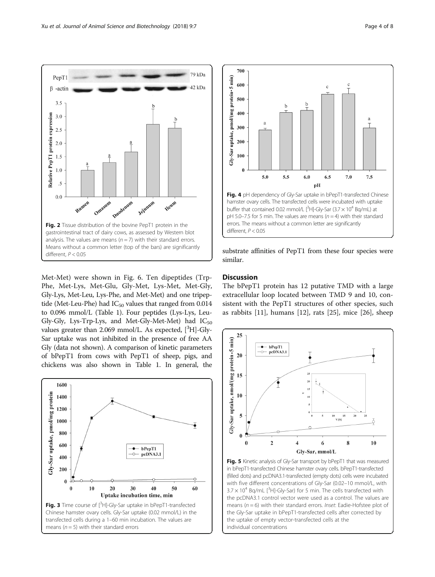<span id="page-3-0"></span>

Met-Met) were shown in Fig. [6](#page-4-0). Ten dipeptides (Trp-Phe, Met-Lys, Met-Glu, Gly-Met, Lys-Met, Met-Gly, Gly-Lys, Met-Leu, Lys-Phe, and Met-Met) and one tripeptide (Met-Leu-Phe) had  $IC_{50}$  values that ranged from 0.014 to 0.096 mmol/L (Table [1\)](#page-4-0). Four peptides (Lys-Lys, Leu-Gly-Gly, Lys-Trp-Lys, and Met-Gly-Met-Met) had  $IC_{50}$ values greater than 2.069 mmol/L. As expected, [<sup>3</sup>H]-Gly-Sar uptake was not inhibited in the presence of free AA Gly (data not shown). A comparison of kinetic parameters of bPepT1 from cows with PepT1 of sheep, pigs, and chickens was also shown in Table [1](#page-4-0). In general, the





substrate affinities of PepT1 from these four species were similar.

#### **Discussion**

The bPepT1 protein has 12 putative TMD with a large extracellular loop located between TMD 9 and 10, consistent with the PepT1 structures of other species, such as rabbits [[11\]](#page-6-0), humans [\[12\]](#page-6-0), rats [\[25\]](#page-7-0), mice [[26](#page-7-0)], sheep



Fig. 5 Kinetic analysis of Gly-Sar transport by bPepT1 that was measured in bPepT1-transfected Chinese hamster ovary cells. bPepT1-transfected (filled dots) and pcDNA3.1-transfected (empty dots) cells were incubated with five different concentrations of Gly-Sar (0.02–10 mmol/L, with  $3.7 \times 10^4$  Bq/mL [<sup>3</sup>H]-Gly-Sar) for 5 min. The cells transfected with the pcDNA3.1 control vector were used as a control. The values are means ( $n = 6$ ) with their standard errors. Inset: Eadie-Hofstee plot of the Gly-Sar uptake in bPepT1-transfected cells after corrected by the uptake of empty vector-transfected cells at the individual concentrations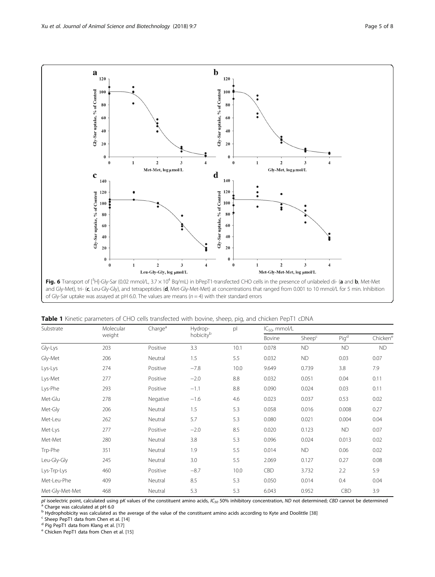<span id="page-4-0"></span>

| Substrate       | Molecular<br>weight | Charge <sup>a</sup> | Hydrop-<br>hobicity <sup>b</sup> | pl   | $IC_{50}$ , mmol/L |                    |                  |                      |
|-----------------|---------------------|---------------------|----------------------------------|------|--------------------|--------------------|------------------|----------------------|
|                 |                     |                     |                                  |      | Bovine             | Sheep <sup>c</sup> | Pig <sup>d</sup> | Chicken <sup>e</sup> |
| Gly-Lys         | 203                 | Positive            | 3.3                              | 10.1 | 0.078              | <b>ND</b>          | <b>ND</b>        | <b>ND</b>            |
| Gly-Met         | 206                 | Neutral             | 1.5                              | 5.5  | 0.032              | <b>ND</b>          | 0.03             | 0.07                 |
| Lys-Lys         | 274                 | Positive            | $-7.8$                           | 10.0 | 9.649              | 0.739              | 3.8              | 7.9                  |
| Lys-Met         | 277                 | Positive            | $-2.0$                           | 8.8  | 0.032              | 0.051              | 0.04             | 0.11                 |
| Lys-Phe         | 293                 | Positive            | $-1.1$                           | 8.8  | 0.090              | 0.024              | 0.03             | 0.11                 |
| Met-Glu         | 278                 | Negative            | $-1.6$                           | 4.6  | 0.023              | 0.037              | 0.53             | 0.02                 |
| Met-Gly         | 206                 | Neutral             | 1.5                              | 5.3  | 0.058              | 0.016              | 0.008            | 0.27                 |
| Met-Leu         | 262                 | Neutral             | 5.7                              | 5.3  | 0.080              | 0.021              | 0.004            | 0.04                 |
| Met-Lys         | 277                 | Positive            | $-2.0$                           | 8.5  | 0.020              | 0.123              | <b>ND</b>        | 0.07                 |
| Met-Met         | 280                 | Neutral             | 3.8                              | 5.3  | 0.096              | 0.024              | 0.013            | 0.02                 |
| Trp-Phe         | 351                 | Neutral             | 1.9                              | 5.5  | 0.014              | <b>ND</b>          | 0.06             | 0.02                 |
| Leu-Gly-Gly     | 245                 | Neutral             | 3.0                              | 5.5  | 2.069              | 0.127              | 0.27             | 0.08                 |
| Lys-Trp-Lys     | 460                 | Positive            | $-8.7$                           | 10.0 | CBD                | 3.732              | 2.2              | 5.9                  |
| Met-Leu-Phe     | 409                 | Neutral             | 8.5                              | 5.3  | 0.050              | 0.014              | 0.4              | 0.04                 |
| Met-Gly-Met-Met | 468                 | Neutral             | 5.3                              | 5.3  | 6.043              | 0.952              | CBD              | 3.9                  |

Table 1 Kinetic parameters of CHO cells transfected with bovine, sheep, pig, and chicken PepT1 cDNA

pI isoelectric point, calculated using pK values of the constituent amino acids, IC<sub>50</sub> 50% inhibitory concentration, ND not determined; CBD cannot be determined<br><sup>a</sup> Charge was calculated at pH 6.0

<sup>b</sup> Hydrophobicity was calculated as the average of the value of the constituent amino acids according to Kyte and Doolittle [\[38](#page-7-0)] <sup>c</sup> Sheep PepT1 data from Chen et al. [[14\]](#page-6-0)<br><sup>d</sup> Pig PepT1 data from Klang et al. [\[17](#page-6-0)]<br><sup>d</sup> Pi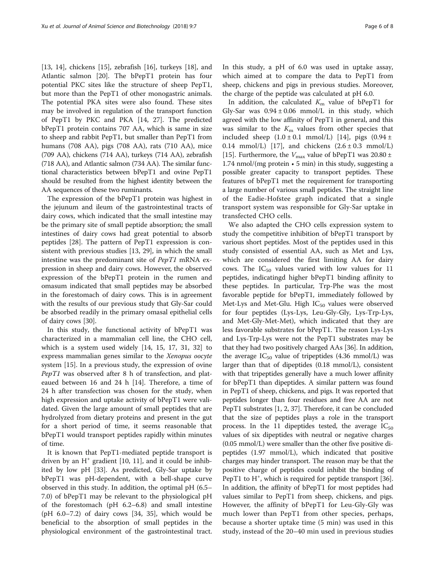[[13, 14\]](#page-6-0), chickens [\[15](#page-6-0)], zebrafish [\[16](#page-6-0)], turkeys [\[18](#page-6-0)], and Atlantic salmon [[20\]](#page-7-0). The bPepT1 protein has four potential PKC sites like the structure of sheep PepT1, but more than the PepT1 of other monogastric animals. The potential PKA sites were also found. These sites may be involved in regulation of the transport function of PepT1 by PKC and PKA [[14](#page-6-0), [27](#page-7-0)]. The predicted bPepT1 protein contains 707 AA, which is same in size to sheep and rabbit PepT1, but smaller than PepT1 from humans (708 AA), pigs (708 AA), rats (710 AA), mice (709 AA), chickens (714 AA), turkeys (714 AA), zebrafish (718 AA), and Atlantic salmon (734 AA). The similar functional characteristics between bPepT1 and ovine PepT1 should be resulted from the highest identity between the AA sequences of these two ruminants.

The expression of the bPepT1 protein was highest in the jejunum and ileum of the gastrointestinal tracts of dairy cows, which indicated that the small intestine may be the primary site of small peptide absorption; the small intestines of dairy cows had great potential to absorb peptides [[28\]](#page-7-0). The pattern of PepT1 expression is consistent with previous studies [\[13,](#page-6-0) [29](#page-7-0)], in which the small intestine was the predominant site of PepT1 mRNA expression in sheep and dairy cows. However, the observed expression of the bPepT1 protein in the rumen and omasum indicated that small peptides may be absorbed in the forestomach of dairy cows. This is in agreement with the results of our previous study that Gly-Sar could be absorbed readily in the primary omasal epithelial cells of dairy cows [\[30\]](#page-7-0).

In this study, the functional activity of bPepT1 was characterized in a mammalian cell line, the CHO cell, which is a system used widely [[14, 15, 17](#page-6-0), [31](#page-7-0), [32](#page-7-0)] to express mammalian genes similar to the Xenopus oocyte system [[15\]](#page-6-0). In a previous study, the expression of ovine PepT1 was observed after 8 h of transfection, and plateaued between 16 and 24 h [\[14](#page-6-0)]. Therefore, a time of 24 h after transfection was chosen for the study, when high expression and uptake activity of bPepT1 were validated. Given the large amount of small peptides that are hydrolyzed from dietary proteins and present in the gut for a short period of time, it seems reasonable that bPepT1 would transport peptides rapidly within minutes of time.

It is known that PepT1-mediated peptide transport is driven by an  $H^+$  gradient [[10](#page-6-0), [11\]](#page-6-0), and it could be inhibited by low pH [[33\]](#page-7-0). As predicted, Gly-Sar uptake by bPepT1 was pH-dependent, with a bell-shape curve observed in this study. In addition, the optimal pH (6.5– 7.0) of bPepT1 may be relevant to the physiological pH of the forestomach (pH 6.2–6.8) and small intestine  $(pH 6.0–7.2)$  of dairy cows  $[34, 35]$  $[34, 35]$  $[34, 35]$ , which would be beneficial to the absorption of small peptides in the physiological environment of the gastrointestinal tract.

In this study, a pH of 6.0 was used in uptake assay, which aimed at to compare the data to PepT1 from sheep, chickens and pigs in previous studies. Moreover, the charge of the peptide was calculated at pH 6.0.

In addition, the calculated  $K<sub>m</sub>$  value of bPepT1 for Gly-Sar was  $0.94 \pm 0.06$  mmol/L in this study, which agreed with the low affinity of PepT1 in general, and this was similar to the  $K<sub>m</sub>$  values from other species that included sheep  $(1.0 \pm 0.1 \text{ mmol/L})$  [[14\]](#page-6-0), pigs  $(0.94 \pm$ 0.14 mmol/L) [[17\]](#page-6-0), and chickens  $(2.6 \pm 0.3 \text{ mmol/L})$ [[15\]](#page-6-0). Furthermore, the  $V_{\text{max}}$  value of bPepT1 was 20.80 ± 1.74 nmol/(mg protein • 5 min) in this study, suggesting a possible greater capacity to transport peptides. These features of bPepT1 met the requirement for transporting a large number of various small peptides. The straight line of the Eadie-Hofstee graph indicated that a single transport system was responsible for Gly-Sar uptake in transfected CHO cells.

We also adapted the CHO cells expression system to study the competitive inhibition of bPepT1 transport by various short peptides. Most of the peptides used in this study consisted of essential AA, such as Met and Lys, which are considered the first limiting AA for dairy cows. The  $IC_{50}$  values varied with low values for 11 peptides, indicatingd higher bPepT1 binding affinity to these peptides. In particular, Trp-Phe was the most favorable peptide for bPepT1, immediately followed by Met-Lys and Met-Glu. High  $IC_{50}$  values were observed for four peptides (Lys-Lys, Leu-Gly-Gly, Lys-Trp-Lys, and Met-Gly-Met-Met), which indicated that they are less favorable substrates for bPepT1. The reason Lys-Lys and Lys-Trp-Lys were not the PepT1 substrates may be that they had two positively charged AAs [[36\]](#page-7-0). In addition, the average  $IC_{50}$  value of tripeptides (4.36 mmol/L) was larger than that of dipeptides (0.18 mmol/L), consistent with that tripeptides generally have a much lower affinity for bPepT1 than dipeptides. A similar pattern was found in PepT1 of sheep, chickens, and pigs. It was reported that peptides longer than four residues and free AA are not PepT1 substrates [\[1, 2,](#page-6-0) [37\]](#page-7-0). Therefore, it can be concluded that the size of peptides plays a role in the transport process. In the 11 dipeptides tested, the average  $IC_{50}$ values of six dipeptides with neutral or negative charges (0.05 mmol/L) were smaller than the other five positive dipeptides (1.97 mmol/L), which indicated that positive charges may hinder transport. The reason may be that the positive charge of peptides could inhibit the binding of PepT1 to H<sup>+</sup>, which is required for peptide transport [[36](#page-7-0)]. In addition, the affinity of bPepT1 for most peptides had values similar to PepT1 from sheep, chickens, and pigs. However, the affinity of bPepT1 for Leu-Gly-Gly was much lower than PepT1 from other species, perhaps, because a shorter uptake time (5 min) was used in this study, instead of the 20–40 min used in previous studies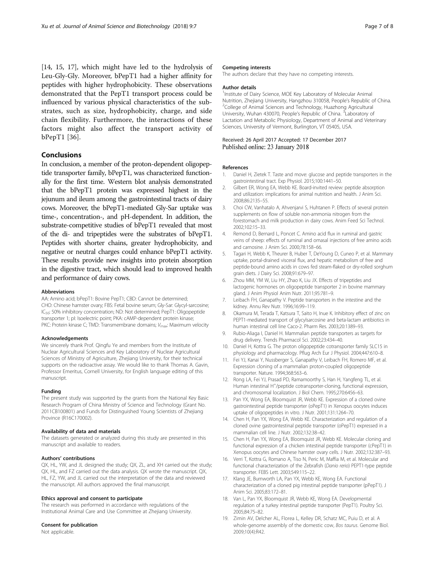<span id="page-6-0"></span>[14, 15, 17], which might have led to the hydrolysis of Leu-Gly-Gly. Moreover, bPepT1 had a higher affinity for peptides with higher hydrophobicity. These observations demonstrated that the PepT1 transport process could be influenced by various physical characteristics of the substrates, such as size, hydrophobicity, charge, and side chain flexibility. Furthermore, the interactions of these factors might also affect the transport activity of bPepT1 [\[36](#page-7-0)].

#### Conclusions

In conclusion, a member of the proton-dependent oligopeptide transporter family, bPepT1, was characterized functionally for the first time. Western blot analysis demonstrated that the bPepT1 protein was expressed highest in the jejunum and ileum among the gastrointestinal tracts of dairy cows. Moreover, the bPepT1-mediated Gly-Sar uptake was time-, concentration-, and pH-dependent. In addition, the substrate-competitive studies of bPepT1 revealed that most of the di- and tripeptides were the substrates of bPepT1. Peptides with shorter chains, greater hydrophobicity, and negative or neutral charges could enhance bPepT1 activity. These results provide new insights into protein absorption in the digestive tract, which should lead to improved health and performance of dairy cows.

#### Abbreviations

AA: Amino acid; bPepT1: Bovine PepT1; CBD: Cannot be determined; CHO: Chinese hamster ovary; FBS: Fetal bovine serum; Gly-Sar: Glycyl-sarcosine; IC<sub>50</sub>: 50% inhibitory concentration; ND: Not determined; PepT1: Oligopeptide transporter 1; pl: Isoelectric point; PKA: cAMP-dependent protein kinase; PKC: Protein kinase C; TMD: Transmembrane domains;  $V_{\text{max}}$ : Maximum velocity

#### Acknowledgements

We sincerely thank Prof. Qingfu Ye and members from the Institute of Nuclear Agricultural Sciences and Key Laboratory of Nuclear Agricultural Sciences of Ministry of Agriculture, Zhejiang University, for their technical supports on the radioactive assay. We would like to thank Thomas A. Gavin, Professor Emeritus, Cornell University, for English language editing of this manuscript.

#### Funding

The present study was supported by the grants from the National Key Basic Research Program of China Ministry of Science and Technology (Grant No. 2011CB100801) and Funds for Distinguished Young Scientists of Zhejiang Province (R16C170002).

#### Availability of data and materials

The datasets generated or analyzed during this study are presented in this manuscript and available to readers.

#### Authors' contributions

QX, HL, YW, and JL designed the study; QX, ZL, and XH carried out the study; QX, HL, and FZ carried out the data analysis. QX wrote the manuscript. QX, HL, FZ, YW, and JL carried out the interpretation of the data and reviewed the manuscript. All authors approved the final manuscript.

#### Ethics approval and consent to participate

The research was performed in accordance with regulations of the Institutional Animal Care and Use Committee at Zhejiang University.

#### Consent for publication

Not applicable.

#### Competing interests

The authors declare that they have no competing interests.

#### Author details

<sup>1</sup>Institute of Dairy Science, MOE Key Laboratory of Molecular Animal Nutrition, Zhejiang University, Hangzhou 310058, People's Republic of China. <sup>2</sup> <sup>2</sup>College of Animal Sciences and Technology, Huazhong Agricultural University, Wuhan 430070, People's Republic of China. <sup>3</sup> Laboratory of Lactation and Metabolic Physiology, Department of Animal and Veterinary Sciences, University of Vermont, Burlington, VT 05405, USA.

#### Received: 26 April 2017 Accepted: 17 December 2017 Published online: 23 January 2018

#### References

- 1. Daniel H, Zietek T. Taste and move: glucose and peptide transporters in the gastrointestinal tract. Exp Physiol. 2015;100:1441–50.
- 2. Gilbert ER, Wong EA, Webb KE. Board-invited review: peptide absorption and utilization: implications for animal nutrition and health. J Anim Sci. 2008;86:2135–55.
- 3. Choi CW, Vanhatalo A, Ahvenjarvi S, Huhtanen P. Effects of several protein supplements on flow of soluble non-ammonia nitrogen from the forestomach and milk production in dairy cows. Anim Feed Sci Technol. 2002;102:15–33.
- 4. Remond D, Bernard L, Poncet C. Amino acid flux in ruminal and gastric veins of sheep: effects of ruminal and omasal injections of free amino acids and carnosine. J Anim Sci. 2000;78:158–66.
- 5. Tagari H, Webb K, Theurer B, Huber T, DeYoung D, Cuneo P, et al. Mammary uptake, portal-drained visceral flux, and hepatic metabolism of free and peptide-bound amino acids in cows fed steam-flaked or dry-rolled sorghum grain diets. J Dairy Sci. 2008;91:679–97.
- 6. Zhou MM, YM W, Liu HY, Zhao K, Liu JX. Effects of tripeptides and lactogenic hormones on oligopeptide transporter 2 in bovine mammary gland. J Anim Physiol Anim Nutr. 2011;95:781–9.
- 7. Leibach FH, Ganapathy V. Peptide transporters in the intestine and the kidney. Annu Rev Nutr. 1996;16:99–119.
- 8. Okamura M, Terada T, Katsura T, Saito H, Inue K. Inhibitory effect of zinc on PEPT1-mediated transport of glycylsarcosine and beta-lactam antibiotics in human intestinal cell line Caco-2. Pharm Res. 2003;20:1389–93.
- 9. Rubio-Aliaga I, Daniel H. Mammalian peptide transporters as targets for drug delivery. Trends Pharmacol Sci. 2002;23:434–40.
- 10. Daniel H, Kottra G. The proton oligopeptide cotransporter family SLC15 in physiology and pharmacology. Pflug Arch Eur J Physiol. 2004;447:610–8.
- 11. Fei YJ, Kanai Y, Nussberger S, Ganapathy V, Leibach FH, Romero MF, et al. Expression cloning of a mammalian proton-coupled oligopeptide transporter. Nature. 1994;368:563–6.
- 12. Rong LA, Fei YJ, Prasad PD, Ramamoorthy S, Han H, Yangfeng TL, et al. Human intestinal H<sup>+</sup>/peptide cotransporter-cloning, functional expression, and chromosomal localization. J Biol Chem. 1995;270:6456–63.
- 13. Pan YX, Wong EA, Bloomquist JR, Webb KE. Expression of a cloned ovine gastrointestinal peptide transporter (oPepT1) in Xenopus oocytes induces uptake of oligopeptides in vitro. J Nutr. 2001;131:1264–70.
- 14. Chen H, Pan YX, Wong EA, Webb KE. Characterization and regulation of a cloned ovine gastrointestinal peptide transporter (oPepT1) expressed in a mammalian cell line. J Nutr. 2002;132:38–42.
- 15. Chen H, Pan YX, Wong EA, Bloomquist JR, Webb KE. Molecular cloning and functional expression of a chicken intestinal peptide transporter (cPepT1) in Xenopus oocytes and Chinese hamster ovary cells. J Nutr. 2002;132:387–93.
- 16. Verri T, Kottra G, Romano A, Tiso N, Peric M, Maffia M, et al. Molecular and functional characterization of the Zebrafish (Danio rerio) PEPT1-type peptide transporter. FEBS Lett. 2003;549:115–22.
- 17. Klang JE, Burnworth LA, Pan YX, Webb KE, Wong EA. Functional characterization of a cloned pig intestinal peptide transporter (pPepT1). J Anim Sci. 2005;83:172–81.
- 18. Van L, Pan YX, Bloomquist JR, Webb KE, Wong EA. Developmental regulation of a turkey intestinal peptide transporter (PepT1). Poultry Sci. 2005;84:75–82.
- 19. Zimin AV, Delcher AL, Florea L, Kelley DR, Schatz MC, Puiu D, et al. A whole-genome assembly of the domestic cow, Bos taurus. Genome Biol. 2009;10(4):R42.